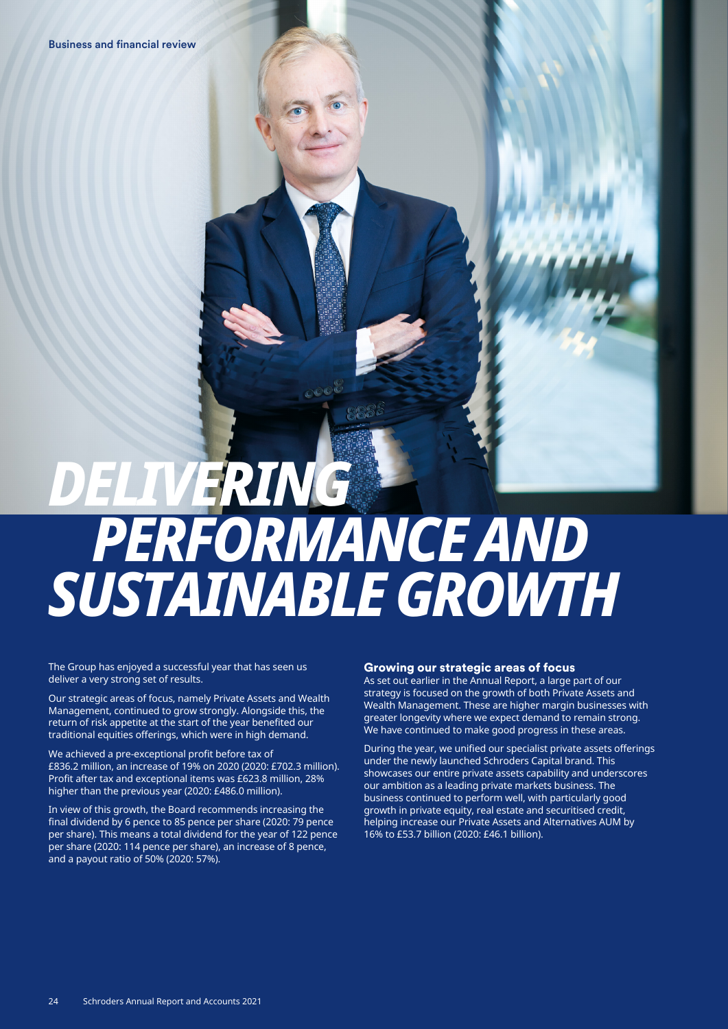# *DELIVERING PERFORMANCE AND SUSTAINABLE GROWTH*

The Group has enjoyed a successful year that has seen us deliver a very strong set of results.

Our strategic areas of focus, namely Private Assets and Wealth Management, continued to grow strongly. Alongside this, the return of risk appetite at the start of the year benefited our traditional equities offerings, which were in high demand.

We achieved a pre-exceptional profit before tax of £836.2 million, an increase of 19% on 2020 (2020: £702.3 million). Profit after tax and exceptional items was £623.8 million, 28% higher than the previous year (2020: £486.0 million).

In view of this growth, the Board recommends increasing the final dividend by 6 pence to 85 pence per share (2020: 79 pence per share). This means a total dividend for the year of 122 pence per share (2020: 114 pence per share), an increase of 8 pence, and a payout ratio of 50% (2020: 57%).

#### Growing our strategic areas of focus

As set out earlier in the Annual Report, a large part of our strategy is focused on the growth of both Private Assets and Wealth Management. These are higher margin businesses with greater longevity where we expect demand to remain strong. We have continued to make good progress in these areas.

During the year, we unified our specialist private assets offerings under the newly launched Schroders Capital brand. This showcases our entire private assets capability and underscores our ambition as a leading private markets business. The business continued to perform well, with particularly good growth in private equity, real estate and securitised credit, helping increase our Private Assets and Alternatives AUM by 16% to £53.7 billion (2020: £46.1 billion).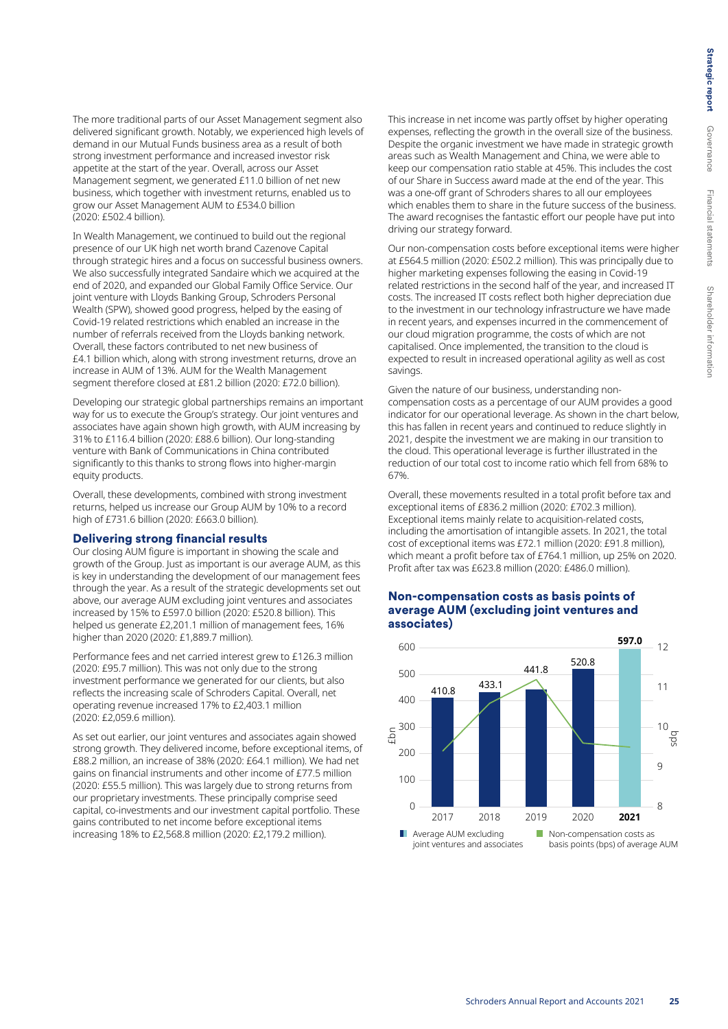The more traditional parts of our Asset Management segment also delivered significant growth. Notably, we experienced high levels of demand in our Mutual Funds business area as a result of both strong investment performance and increased investor risk appetite at the start of the year. Overall, across our Asset Management segment, we generated £11.0 billion of net new business, which together with investment returns, enabled us to grow our Asset Management AUM to £534.0 billion (2020: £502.4 billion).

In Wealth Management, we continued to build out the regional presence of our UK high net worth brand Cazenove Capital through strategic hires and a focus on successful business owners. We also successfully integrated Sandaire which we acquired at the end of 2020, and expanded our Global Family Office Service. Our joint venture with Lloyds Banking Group, Schroders Personal Wealth (SPW), showed good progress, helped by the easing of Covid-19 related restrictions which enabled an increase in the number of referrals received from the Lloyds banking network. Overall, these factors contributed to net new business of £4.1 billion which, along with strong investment returns, drove an increase in AUM of 13%. AUM for the Wealth Management segment therefore closed at £81.2 billion (2020: £72.0 billion).

Developing our strategic global partnerships remains an important way for us to execute the Group's strategy. Our joint ventures and associates have again shown high growth, with AUM increasing by 31% to £116.4 billion (2020: £88.6 billion). Our long-standing venture with Bank of Communications in China contributed significantly to this thanks to strong flows into higher-margin equity products.

Overall, these developments, combined with strong investment returns, helped us increase our Group AUM by 10% to a record high of £731.6 billion (2020: £663.0 billion).

#### Delivering strong financial results

Our closing AUM figure is important in showing the scale and growth of the Group. Just as important is our average AUM, as this is key in understanding the development of our management fees through the year. As a result of the strategic developments set out above, our average AUM excluding joint ventures and associates increased by 15% to £597.0 billion (2020: £520.8 billion). This helped us generate £2,201.1 million of management fees, 16% higher than 2020 (2020: £1,889.7 million).

Performance fees and net carried interest grew to £126.3 million (2020: £95.7 million). This was not only due to the strong investment performance we generated for our clients, but also reflects the increasing scale of Schroders Capital. Overall, net operating revenue increased 17% to £2,403.1 million (2020: £2,059.6 million).

As set out earlier, our joint ventures and associates again showed strong growth. They delivered income, before exceptional items, of £88.2 million, an increase of 38% (2020: £64.1 million). We had net gains on financial instruments and other income of £77.5 million (2020: £55.5 million). This was largely due to strong returns from our proprietary investments. These principally comprise seed capital, co-investments and our investment capital portfolio. These gains contributed to net income before exceptional items increasing 18% to £2,568.8 million (2020: £2,179.2 million).

This increase in net income was partly offset by higher operating expenses, reflecting the growth in the overall size of the business. Despite the organic investment we have made in strategic growth areas such as Wealth Management and China, we were able to keep our compensation ratio stable at 45%. This includes the cost of our Share in Success award made at the end of the year. This was a one-off grant of Schroders shares to all our employees which enables them to share in the future success of the business. The award recognises the fantastic effort our people have put into driving our strategy forward.

Our non-compensation costs before exceptional items were higher at £564.5 million (2020: £502.2 million). This was principally due to higher marketing expenses following the easing in Covid-19 related restrictions in the second half of the year, and increased IT costs. The increased IT costs reflect both higher depreciation due to the investment in our technology infrastructure we have made in recent years, and expenses incurred in the commencement of our cloud migration programme, the costs of which are not capitalised. Once implemented, the transition to the cloud is expected to result in increased operational agility as well as cost savings.

Given the nature of our business, understanding noncompensation costs as a percentage of our AUM provides a good indicator for our operational leverage. As shown in the chart below, this has fallen in recent years and continued to reduce slightly in 2021, despite the investment we are making in our transition to the cloud. This operational leverage is further illustrated in the reduction of our total cost to income ratio which fell from 68% to 67%.

Overall, these movements resulted in a total profit before tax and exceptional items of £836.2 million (2020: £702.3 million). Exceptional items mainly relate to acquisition-related costs, including the amortisation of intangible assets. In 2021, the total cost of exceptional items was £72.1 million (2020: £91.8 million), which meant a profit before tax of £764.1 million, up 25% on 2020. Profit after tax was £623.8 million (2020: £486.0 million).

## average AUM (excluding joint ventures and **[to be updated for FY21]** associates) Non-compensation costs as basis points of

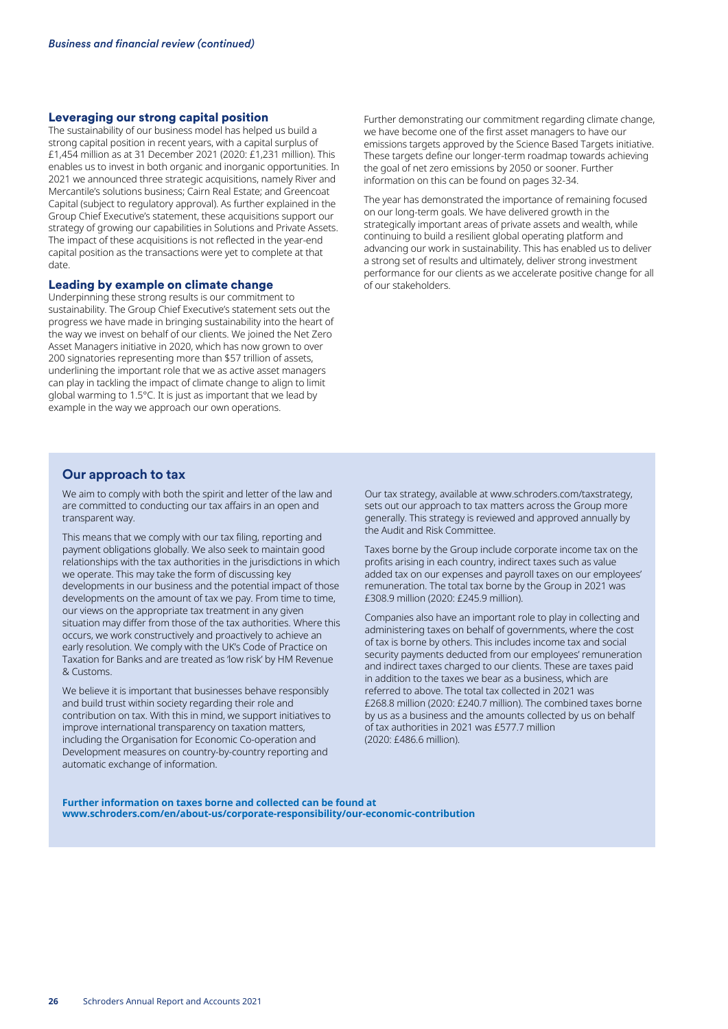## Leveraging our strong capital position

The sustainability of our business model has helped us build a strong capital position in recent years, with a capital surplus of £1,454 million as at 31 December 2021 (2020: £1,231 million). This enables us to invest in both organic and inorganic opportunities. In 2021 we announced three strategic acquisitions, namely River and Mercantile's solutions business; Cairn Real Estate; and Greencoat Capital (subject to regulatory approval). As further explained in the Group Chief Executive's statement, these acquisitions support our strategy of growing our capabilities in Solutions and Private Assets. The impact of these acquisitions is not reflected in the year-end capital position as the transactions were yet to complete at that date.

#### Leading by example on climate change

Underpinning these strong results is our commitment to sustainability. The Group Chief Executive's statement sets out the progress we have made in bringing sustainability into the heart of the way we invest on behalf of our clients. We joined the Net Zero Asset Managers initiative in 2020, which has now grown to over 200 signatories representing more than \$57 trillion of assets, underlining the important role that we as active asset managers can play in tackling the impact of climate change to align to limit global warming to 1.5°C. It is just as important that we lead by example in the way we approach our own operations.

Further demonstrating our commitment regarding climate change, we have become one of the first asset managers to have our emissions targets approved by the Science Based Targets initiative. These targets define our longer-term roadmap towards achieving the goal of net zero emissions by 2050 or sooner. Further information on this can be found on pages 32-34.

The year has demonstrated the importance of remaining focused on our long-term goals. We have delivered growth in the strategically important areas of private assets and wealth, while continuing to build a resilient global operating platform and advancing our work in sustainability. This has enabled us to deliver a strong set of results and ultimately, deliver strong investment performance for our clients as we accelerate positive change for all of our stakeholders.

## **Our approach to tax**

We aim to comply with both the spirit and letter of the law and are committed to conducting our tax affairs in an open and transparent way.

This means that we comply with our tax filing, reporting and payment obligations globally. We also seek to maintain good relationships with the tax authorities in the jurisdictions in which we operate. This may take the form of discussing key developments in our business and the potential impact of those developments on the amount of tax we pay. From time to time, our views on the appropriate tax treatment in any given situation may differ from those of the tax authorities. Where this occurs, we work constructively and proactively to achieve an early resolution. We comply with the UK's Code of Practice on Taxation for Banks and are treated as 'low risk' by HM Revenue & Customs.

We believe it is important that businesses behave responsibly and build trust within society regarding their role and contribution on tax. With this in mind, we support initiatives to improve international transparency on taxation matters, including the Organisation for Economic Co-operation and Development measures on country-by-country reporting and automatic exchange of information.

Our tax strategy, available at www.schroders.com/taxstrategy, sets out our approach to tax matters across the Group more generally. This strategy is reviewed and approved annually by the Audit and Risk Committee.

Taxes borne by the Group include corporate income tax on the profits arising in each country, indirect taxes such as value added tax on our expenses and payroll taxes on our employees' remuneration. The total tax borne by the Group in 2021 was £308.9 million (2020: £245.9 million).

Companies also have an important role to play in collecting and administering taxes on behalf of governments, where the cost of tax is borne by others. This includes income tax and social security payments deducted from our employees' remuneration and indirect taxes charged to our clients. These are taxes paid in addition to the taxes we bear as a business, which are referred to above. The total tax collected in 2021 was £268.8 million (2020: £240.7 million). The combined taxes borne by us as a business and the amounts collected by us on behalf of tax authorities in 2021 was £577.7 million (2020: £486.6 million).

**Further information on taxes borne and collected can be found at www.schroders.com/en/about-us/corporate-responsibility/our-economic-contribution**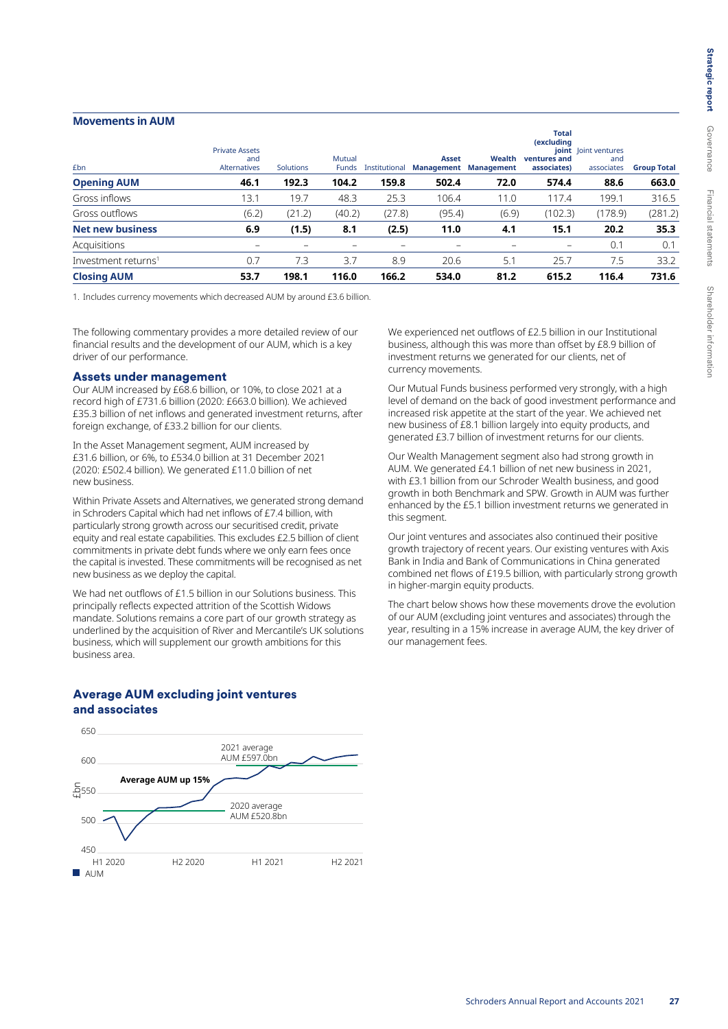#### **Movements in AUM**

| £bn                             | <b>Private Assets</b><br>and<br><b>Alternatives</b> | <b>Solutions</b> | Mutual<br><b>Funds</b> | Institutional | <b>Asset</b><br><b>Management</b> | Wealth<br><b>Management</b> | Total<br><i>(excluding)</i><br>ventures and<br>associates) | <b>joint</b> loint ventures<br>and<br>associates | <b>Group Total</b> |
|---------------------------------|-----------------------------------------------------|------------------|------------------------|---------------|-----------------------------------|-----------------------------|------------------------------------------------------------|--------------------------------------------------|--------------------|
| <b>Opening AUM</b>              | 46.1                                                | 192.3            | 104.2                  | 159.8         | 502.4                             | 72.0                        | 574.4                                                      | 88.6                                             | 663.0              |
| Gross inflows                   | 13.1                                                | 19.7             | 48.3                   | 25.3          | 106.4                             | 11.0                        | 117.4                                                      | 199.1                                            | 316.5              |
| Gross outflows                  | (6.2)                                               | (21.2)           | (40.2)                 | (27.8)        | (95.4)                            | (6.9)                       | (102.3)                                                    | (178.9)                                          | (281.2)            |
| <b>Net new business</b>         | 6.9                                                 | (1.5)            | 8.1                    | (2.5)         | 11.0                              | 4.1                         | 15.1                                                       | 20.2                                             | 35.3               |
| Acquisitions                    |                                                     |                  |                        | -             |                                   |                             |                                                            | 0.1                                              | 0.1                |
| Investment returns <sup>1</sup> | 0.7                                                 | 7.3              | 3.7                    | 8.9           | 20.6                              | 5.1                         | 25.7                                                       | 7.5                                              | 33.2               |
| <b>Closing AUM</b>              | 53.7                                                | 198.1            | 116.0                  | 166.2         | 534.0                             | 81.2                        | 615.2                                                      | 116.4                                            | 731.6              |

1. Includes currency movements which decreased AUM by around £3.6 billion.

The following commentary provides a more detailed review of our financial results and the development of our AUM, which is a key driver of our performance.

#### Assets under management

Our AUM increased by £68.6 billion, or 10%, to close 2021 at a record high of £731.6 billion (2020: £663.0 billion). We achieved £35.3 billion of net inflows and generated investment returns, after foreign exchange, of £33.2 billion for our clients.

In the Asset Management segment, AUM increased by £31.6 billion, or 6%, to £534.0 billion at 31 December 2021 (2020: £502.4 billion). We generated £11.0 billion of net new business.

Within Private Assets and Alternatives, we generated strong demand in Schroders Capital which had net inflows of £7.4 billion, with particularly strong growth across our securitised credit, private equity and real estate capabilities. This excludes £2.5 billion of client commitments in private debt funds where we only earn fees once the capital is invested. These commitments will be recognised as net new business as we deploy the capital.

We had net outflows of £1.5 billion in our Solutions business. This principally reflects expected attrition of the Scottish Widows mandate. Solutions remains a core part of our growth strategy as underlined by the acquisition of River and Mercantile's UK solutions business, which will supplement our growth ambitions for this business area.

We experienced net outflows of £2.5 billion in our Institutional business, although this was more than offset by £8.9 billion of investment returns we generated for our clients, net of currency movements.

Our Mutual Funds business performed very strongly, with a high level of demand on the back of good investment performance and increased risk appetite at the start of the year. We achieved net new business of £8.1 billion largely into equity products, and generated £3.7 billion of investment returns for our clients.

Our Wealth Management segment also had strong growth in AUM. We generated £4.1 billion of net new business in 2021, with £3.1 billion from our Schroder Wealth business, and good growth in both Benchmark and SPW. Growth in AUM was further enhanced by the £5.1 billion investment returns we generated in this segment.

Our joint ventures and associates also continued their positive growth trajectory of recent years. Our existing ventures with Axis Bank in India and Bank of Communications in China generated combined net flows of £19.5 billion, with particularly strong growth in higher-margin equity products.

The chart below shows how these movements drove the evolution of our AUM (excluding joint ventures and associates) through the year, resulting in a 15% increase in average AUM, the key driver of our management fees.

# Average AUM excluding joint ventures and associates

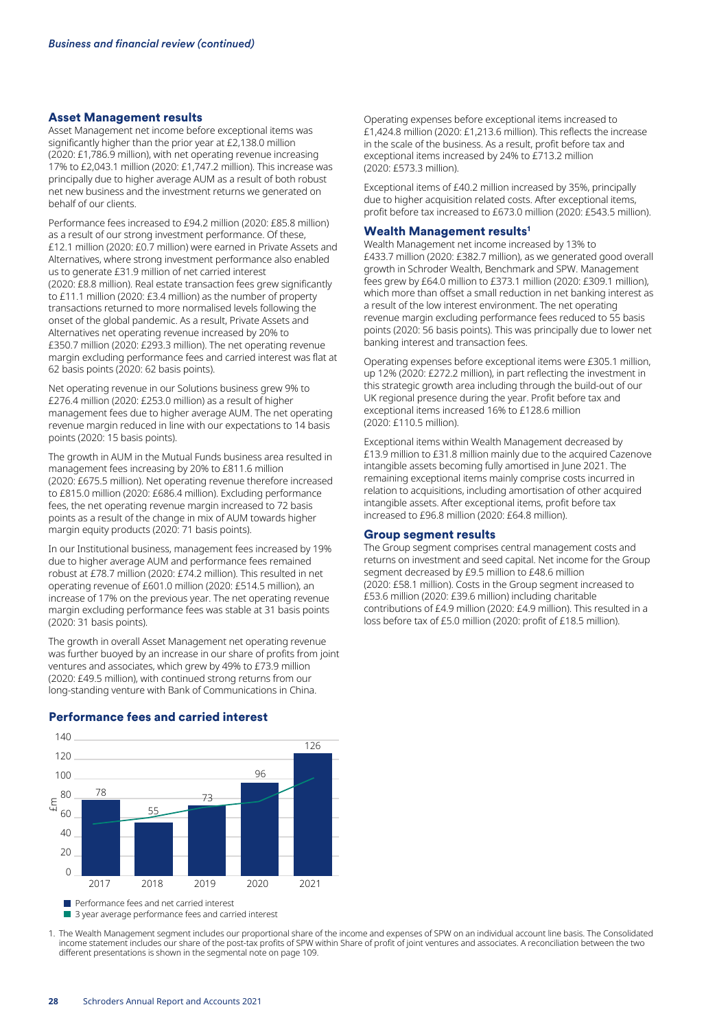#### Asset Management results

Asset Management net income before exceptional items was significantly higher than the prior year at £2,138.0 million (2020: £1,786.9 million), with net operating revenue increasing 17% to £2,043.1 million (2020: £1,747.2 million). This increase was principally due to higher average AUM as a result of both robust net new business and the investment returns we generated on behalf of our clients.

Performance fees increased to £94.2 million (2020: £85.8 million) as a result of our strong investment performance. Of these, £12.1 million (2020: £0.7 million) were earned in Private Assets and Alternatives, where strong investment performance also enabled us to generate £31.9 million of net carried interest (2020: £8.8 million). Real estate transaction fees grew significantly to £11.1 million (2020: £3.4 million) as the number of property transactions returned to more normalised levels following the onset of the global pandemic. As a result, Private Assets and Alternatives net operating revenue increased by 20% to £350.7 million (2020: £293.3 million). The net operating revenue margin excluding performance fees and carried interest was flat at 62 basis points (2020: 62 basis points).

Net operating revenue in our Solutions business grew 9% to £276.4 million (2020: £253.0 million) as a result of higher management fees due to higher average AUM. The net operating revenue margin reduced in line with our expectations to 14 basis points (2020: 15 basis points).

The growth in AUM in the Mutual Funds business area resulted in management fees increasing by 20% to £811.6 million (2020: £675.5 million). Net operating revenue therefore increased to £815.0 million (2020: £686.4 million). Excluding performance fees, the net operating revenue margin increased to 72 basis points as a result of the change in mix of AUM towards higher margin equity products (2020: 71 basis points).

In our Institutional business, management fees increased by 19% due to higher average AUM and performance fees remained robust at £78.7 million (2020: £74.2 million). This resulted in net operating revenue of £601.0 million (2020: £514.5 million), an increase of 17% on the previous year. The net operating revenue margin excluding performance fees was stable at 31 basis points (2020: 31 basis points).

The growth in overall Asset Management net operating revenue was further buoyed by an increase in our share of profits from joint ventures and associates, which grew by 49% to £73.9 million (2020: £49.5 million), with continued strong returns from our long-standing venture with Bank of Communications in China.

2017 2018 2019 2020 2021 **Performance fees and net carried interest** 3 year average performance fees and carried interest 78 55 73 96 126 £m  $\Omega$  $20$ 40 60 80 100 120 140

Performance fees and carried interest

Operating expenses before exceptional items increased to £1,424.8 million (2020: £1,213.6 million). This reflects the increase in the scale of the business. As a result, profit before tax and exceptional items increased by 24% to £713.2 million (2020: £573.3 million).

Exceptional items of £40.2 million increased by 35%, principally due to higher acquisition related costs. After exceptional items, profit before tax increased to £673.0 million (2020: £543.5 million).

#### Wealth Management results<sup>1</sup>

Wealth Management net income increased by 13% to £433.7 million (2020: £382.7 million), as we generated good overall growth in Schroder Wealth, Benchmark and SPW. Management fees grew by £64.0 million to £373.1 million (2020: £309.1 million), which more than offset a small reduction in net banking interest as a result of the low interest environment. The net operating revenue margin excluding performance fees reduced to 55 basis points (2020: 56 basis points). This was principally due to lower net banking interest and transaction fees.

Operating expenses before exceptional items were £305.1 million, up 12% (2020: £272.2 million), in part reflecting the investment in this strategic growth area including through the build-out of our UK regional presence during the year. Profit before tax and exceptional items increased 16% to £128.6 million (2020: £110.5 million).

Exceptional items within Wealth Management decreased by £13.9 million to £31.8 million mainly due to the acquired Cazenove intangible assets becoming fully amortised in June 2021. The remaining exceptional items mainly comprise costs incurred in relation to acquisitions, including amortisation of other acquired intangible assets. After exceptional items, profit before tax increased to £96.8 million (2020: £64.8 million).

#### Group segment results

The Group segment comprises central management costs and returns on investment and seed capital. Net income for the Group segment decreased by £9.5 million to £48.6 million (2020: £58.1 million). Costs in the Group segment increased to £53.6 million (2020: £39.6 million) including charitable contributions of £4.9 million (2020: £4.9 million). This resulted in a loss before tax of £5.0 million (2020: profit of £18.5 million).

1. The Wealth Management segment includes our proportional share of the income and expenses of SPW on an individual account line basis. The Consolidated income statement includes our share of the post-tax profits of SPW within Share of profit of joint ventures and associates. A reconciliation between the two different presentations is shown in the segmental note on page 109.